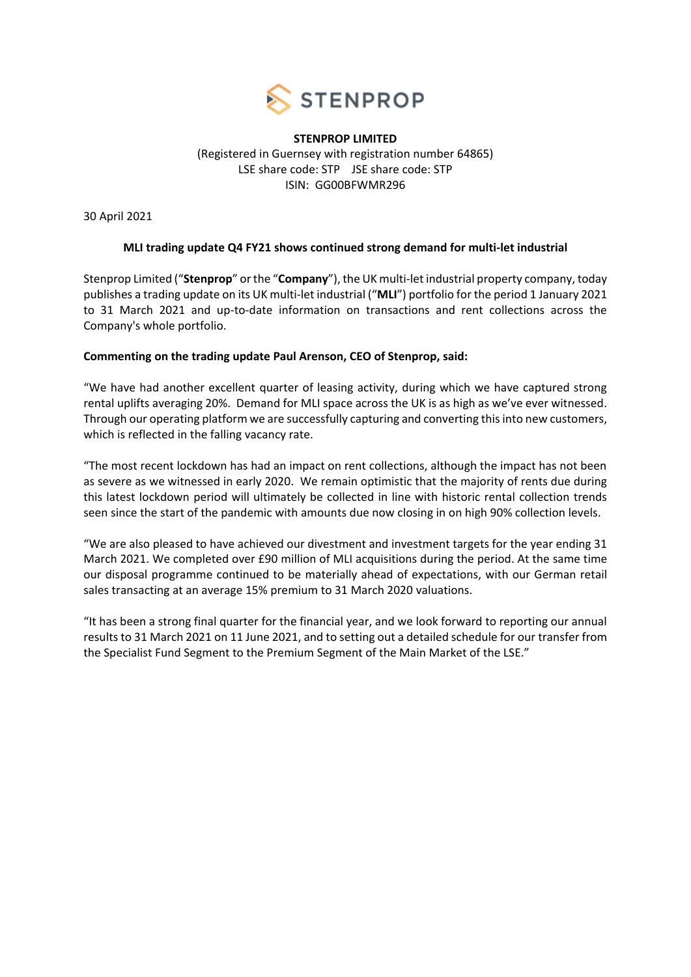

## **STENPROP LIMITED** (Registered in Guernsey with registration number 64865) LSE share code: STP JSE share code: STP ISIN: GG00BFWMR296

30 April 2021

# **MLI trading update Q4 FY21 shows continued strong demand for multi-let industrial**

Stenprop Limited ("**Stenprop**" or the "**Company**"), the UK multi-let industrial property company, today publishes a trading update on its UK multi-let industrial ("**MLI**") portfolio for the period 1 January 2021 to 31 March 2021 and up-to-date information on transactions and rent collections across the Company's whole portfolio.

# **Commenting on the trading update Paul Arenson, CEO of Stenprop, said:**

"We have had another excellent quarter of leasing activity, during which we have captured strong rental uplifts averaging 20%. Demand for MLI space across the UK is as high as we've ever witnessed. Through our operating platform we are successfully capturing and converting this into new customers, which is reflected in the falling vacancy rate.

"The most recent lockdown has had an impact on rent collections, although the impact has not been as severe as we witnessed in early 2020. We remain optimistic that the majority of rents due during this latest lockdown period will ultimately be collected in line with historic rental collection trends seen since the start of the pandemic with amounts due now closing in on high 90% collection levels.

"We are also pleased to have achieved our divestment and investment targets for the year ending 31 March 2021. We completed over £90 million of MLI acquisitions during the period. At the same time our disposal programme continued to be materially ahead of expectations, with our German retail sales transacting at an average 15% premium to 31 March 2020 valuations.

"It has been a strong final quarter for the financial year, and we look forward to reporting our annual results to 31 March 2021 on 11 June 2021, and to setting out a detailed schedule for our transfer from the Specialist Fund Segment to the Premium Segment of the Main Market of the LSE."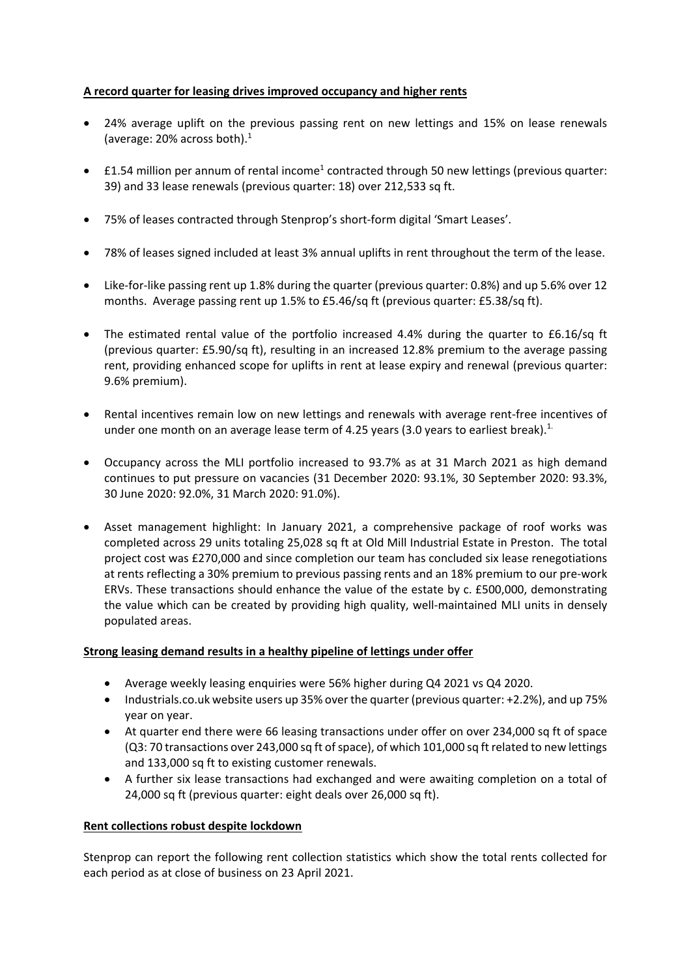## **A record quarter for leasing drives improved occupancy and higher rents**

- 24% average uplift on the previous passing rent on new lettings and 15% on lease renewals (average: 20% across both). 1
- £1.54 million per annum of rental income<sup>1</sup> contracted through 50 new lettings (previous quarter: 39) and 33 lease renewals (previous quarter: 18) over 212,533 sq ft.
- 75% of leases contracted through Stenprop's short-form digital 'Smart Leases'.
- 78% of leases signed included at least 3% annual uplifts in rent throughout the term of the lease.
- Like-for-like passing rent up 1.8% during the quarter (previous quarter: 0.8%) and up 5.6% over 12 months. Average passing rent up 1.5% to £5.46/sq ft (previous quarter: £5.38/sq ft).
- The estimated rental value of the portfolio increased 4.4% during the quarter to £6.16/sq ft (previous quarter: £5.90/sq ft), resulting in an increased 12.8% premium to the average passing rent, providing enhanced scope for uplifts in rent at lease expiry and renewal (previous quarter: 9.6% premium).
- Rental incentives remain low on new lettings and renewals with average rent-free incentives of under one month on an average lease term of 4.25 years (3.0 years to earliest break).<sup>1.</sup>
- Occupancy across the MLI portfolio increased to 93.7% as at 31 March 2021 as high demand continues to put pressure on vacancies (31 December 2020: 93.1%, 30 September 2020: 93.3%, 30 June 2020: 92.0%, 31 March 2020: 91.0%).
- Asset management highlight: In January 2021, a comprehensive package of roof works was completed across 29 units totaling 25,028 sq ft at Old Mill Industrial Estate in Preston. The total project cost was £270,000 and since completion our team has concluded six lease renegotiations at rents reflecting a 30% premium to previous passing rents and an 18% premium to our pre-work ERVs. These transactions should enhance the value of the estate by c. £500,000, demonstrating the value which can be created by providing high quality, well-maintained MLI units in densely populated areas.

### **Strong leasing demand results in a healthy pipeline of lettings under offer**

- Average weekly leasing enquiries were 56% higher during Q4 2021 vs Q4 2020.
- Industrials.co.uk website users up 35% over the quarter (previous quarter: +2.2%), and up 75% year on year.
- At quarter end there were 66 leasing transactions under offer on over 234,000 sq ft of space (Q3: 70 transactions over 243,000 sq ft of space), of which 101,000 sq ft related to new lettings and 133,000 sq ft to existing customer renewals.
- A further six lease transactions had exchanged and were awaiting completion on a total of 24,000 sq ft (previous quarter: eight deals over 26,000 sq ft).

### **Rent collections robust despite lockdown**

Stenprop can report the following rent collection statistics which show the total rents collected for each period as at close of business on 23 April 2021.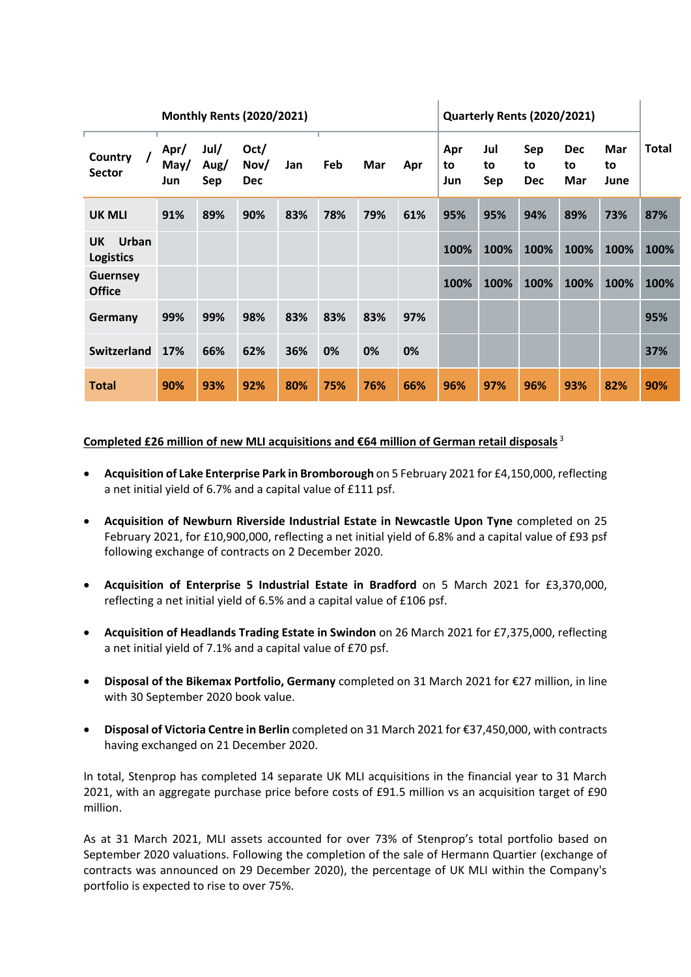|                                        | <b>Monthly Rents (2020/2021)</b> |                     |                            |     |     |     |     | <b>Quarterly Rents (2020/2021)</b> |                  |                         |                         |                   |              |
|----------------------------------------|----------------------------------|---------------------|----------------------------|-----|-----|-----|-----|------------------------------------|------------------|-------------------------|-------------------------|-------------------|--------------|
| Country<br>$\prime$<br><b>Sector</b>   | Apr/<br>May/<br>Jun              | Jul/<br>Aug/<br>Sep | Oct/<br>Nov/<br><b>Dec</b> | Jan | Feb | Mar | Apr | Apr<br>to<br>Jun                   | Jul<br>to<br>Sep | Sep<br>to<br><b>Dec</b> | <b>Dec</b><br>to<br>Mar | Mar<br>to<br>June | <b>Total</b> |
| <b>UK MLI</b>                          | 91%                              | 89%                 | 90%                        | 83% | 78% | 79% | 61% | 95%                                | 95%              | 94%                     | 89%                     | 73%               | 87%          |
| Urban<br><b>UK</b><br><b>Logistics</b> |                                  |                     |                            |     |     |     |     | 100%                               | 100%             | 100%                    | 100%                    | 100%              | 100%         |
| <b>Guernsey</b><br><b>Office</b>       |                                  |                     |                            |     |     |     |     | 100%                               | 100%             | 100%                    | 100%                    | 100%              | 100%         |
| Germany                                | 99%                              | 99%                 | 98%                        | 83% | 83% | 83% | 97% |                                    |                  |                         |                         |                   | 95%          |
| Switzerland                            | 17%                              | 66%                 | 62%                        | 36% | 0%  | 0%  | 0%  |                                    |                  |                         |                         |                   | 37%          |
| <b>Total</b>                           | 90%                              | 93%                 | 92%                        | 80% | 75% | 76% | 66% | 96%                                | 97%              | 96%                     | 93%                     | 82%               | 90%          |

# **Completed £26 million of new MLI acquisitions and €64 million of German retail disposals** <sup>3</sup>

- **Acquisition of Lake Enterprise Park in Bromborough** on 5 February 2021 for £4,150,000, reflecting a net initial yield of 6.7% and a capital value of £111 psf.
- **Acquisition of Newburn Riverside Industrial Estate in Newcastle Upon Tyne** completed on 25 February 2021, for £10,900,000, reflecting a net initial yield of 6.8% and a capital value of £93 psf following exchange of contracts on 2 December 2020.
- **Acquisition of Enterprise 5 Industrial Estate in Bradford** on 5 March 2021 for £3,370,000, reflecting a net initial yield of 6.5% and a capital value of £106 psf.
- **Acquisition of Headlands Trading Estate in Swindon** on 26 March 2021 for £7,375,000, reflecting a net initial yield of 7.1% and a capital value of £70 psf.
- **Disposal of the Bikemax Portfolio, Germany** completed on 31 March 2021 for €27 million, in line with 30 September 2020 book value.
- **Disposal of Victoria Centre in Berlin** completed on 31 March 2021 for €37,450,000, with contracts having exchanged on 21 December 2020.

In total, Stenprop has completed 14 separate UK MLI acquisitions in the financial year to 31 March 2021, with an aggregate purchase price before costs of £91.5 million vs an acquisition target of £90 million.

As at 31 March 2021, MLI assets accounted for over 73% of Stenprop's total portfolio based on September 2020 valuations. Following the completion of the sale of Hermann Quartier (exchange of contracts was announced on 29 December 2020), the percentage of UK MLI within the Company's portfolio is expected to rise to over 75%.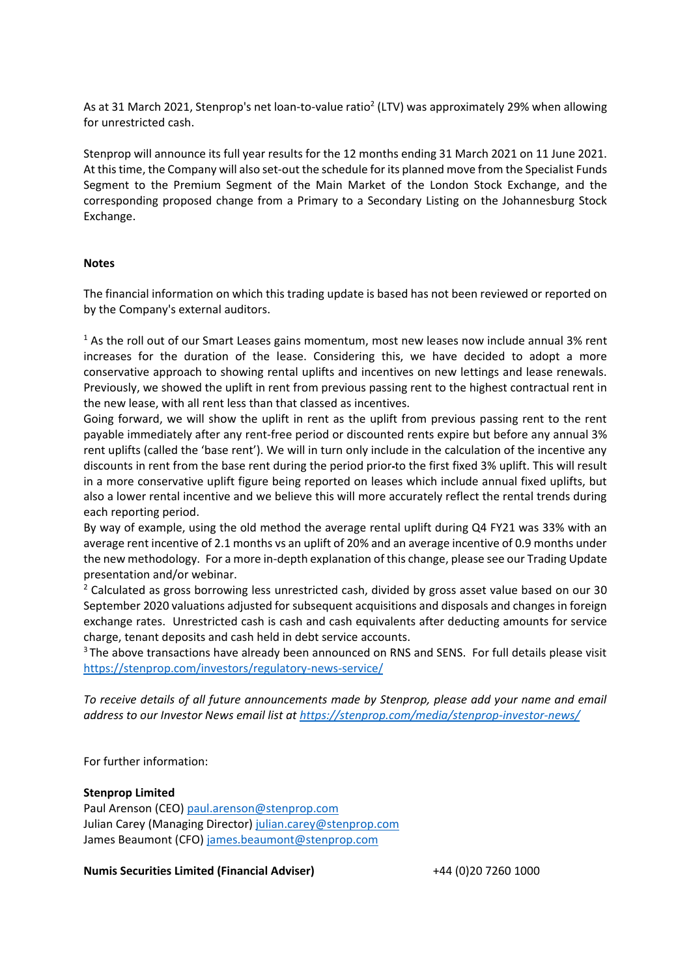As at 31 March 2021, Stenprop's net loan-to-value ratio<sup>2</sup> (LTV) was approximately 29% when allowing for unrestricted cash.

Stenprop will announce its full year results for the 12 months ending 31 March 2021 on 11 June 2021. At this time, the Company will also set-out the schedule for its planned move from the Specialist Funds Segment to the Premium Segment of the Main Market of the London Stock Exchange, and the corresponding proposed change from a Primary to a Secondary Listing on the Johannesburg Stock Exchange.

### **Notes**

The financial information on which this trading update is based has not been reviewed or reported on by the Company's external auditors.

<sup>1</sup> As the roll out of our Smart Leases gains momentum, most new leases now include annual 3% rent increases for the duration of the lease. Considering this, we have decided to adopt a more conservative approach to showing rental uplifts and incentives on new lettings and lease renewals. Previously, we showed the uplift in rent from previous passing rent to the highest contractual rent in the new lease, with all rent less than that classed as incentives.

Going forward, we will show the uplift in rent as the uplift from previous passing rent to the rent payable immediately after any rent-free period or discounted rents expire but before any annual 3% rent uplifts (called the 'base rent'). We will in turn only include in the calculation of the incentive any discounts in rent from the base rent during the period prior to the first fixed 3% uplift. This will result in a more conservative uplift figure being reported on leases which include annual fixed uplifts, but also a lower rental incentive and we believe this will more accurately reflect the rental trends during each reporting period.

By way of example, using the old method the average rental uplift during Q4 FY21 was 33% with an average rent incentive of 2.1 months vs an uplift of 20% and an average incentive of 0.9 months under the new methodology. For a more in-depth explanation of this change, please see our Trading Update presentation and/or webinar.

<sup>2</sup> Calculated as gross borrowing less unrestricted cash, divided by gross asset value based on our 30 September 2020 valuations adjusted for subsequent acquisitions and disposals and changes in foreign exchange rates. Unrestricted cash is cash and cash equivalents after deducting amounts for service charge, tenant deposits and cash held in debt service accounts.

<sup>3</sup> The above transactions have already been announced on RNS and SENS. For full details please visit <https://stenprop.com/investors/regulatory-news-service/>

*To receive details of all future announcements made by Stenprop, please add your name and email address to our Investor News email list at<https://stenprop.com/media/stenprop-investor-news/>*

For further information:

### **Stenprop Limited**

Paul Arenson (CEO) [paul.arenson@stenprop.com](mailto:paul.arenson@stenprop.com) Julian Carey (Managing Director) [julian.carey@stenprop.com](mailto:julian.carey@stenprop.com) James Beaumont (CFO) [james.beaumont@stenprop.com](mailto:james.beaumont@stenprop.com)

**Numis Securities Limited (Financial Adviser)** +44 (0)20 7260 1000